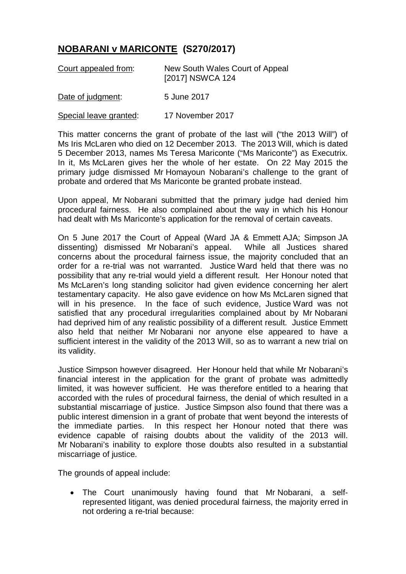## **NOBARANI v MARICONTE (S270/2017)**

| Court appealed from:   | New South Wales Court of Appeal<br>[2017] NSWCA 124 |
|------------------------|-----------------------------------------------------|
| Date of judgment:      | 5 June 2017                                         |
| Special leave granted: | 17 November 2017                                    |

This matter concerns the grant of probate of the last will ("the 2013 Will") of Ms Iris McLaren who died on 12 December 2013. The 2013 Will, which is dated 5 December 2013, names Ms Teresa Mariconte ("Ms Mariconte") as Executrix. In it, Ms McLaren gives her the whole of her estate. On 22 May 2015 the primary judge dismissed Mr Homayoun Nobarani's challenge to the grant of probate and ordered that Ms Mariconte be granted probate instead.

Upon appeal, Mr Nobarani submitted that the primary judge had denied him procedural fairness. He also complained about the way in which his Honour had dealt with Ms Mariconte's application for the removal of certain caveats.

On 5 June 2017 the Court of Appeal (Ward JA & Emmett AJA; Simpson JA dissenting) dismissed Mr Nobarani's appeal. While all Justices shared concerns about the procedural fairness issue, the majority concluded that an order for a re-trial was not warranted. Justice Ward held that there was no possibility that any re-trial would yield a different result. Her Honour noted that Ms McLaren's long standing solicitor had given evidence concerning her alert testamentary capacity. He also gave evidence on how Ms McLaren signed that will in his presence. In the face of such evidence, Justice Ward was not satisfied that any procedural irregularities complained about by Mr Nobarani had deprived him of any realistic possibility of a different result. Justice Emmett also held that neither Mr Nobarani nor anyone else appeared to have a sufficient interest in the validity of the 2013 Will, so as to warrant a new trial on its validity.

Justice Simpson however disagreed. Her Honour held that while Mr Nobarani's financial interest in the application for the grant of probate was admittedly limited, it was however sufficient. He was therefore entitled to a hearing that accorded with the rules of procedural fairness, the denial of which resulted in a substantial miscarriage of justice. Justice Simpson also found that there was a public interest dimension in a grant of probate that went beyond the interests of the immediate parties. In this respect her Honour noted that there was evidence capable of raising doubts about the validity of the 2013 will. Mr Nobarani's inability to explore those doubts also resulted in a substantial miscarriage of justice.

The grounds of appeal include:

• The Court unanimously having found that Mr Nobarani, a selfrepresented litigant, was denied procedural fairness, the majority erred in not ordering a re-trial because: